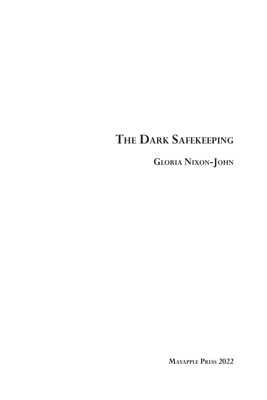# **The Dark Safekeeping**

**Gloria Nixon-John**

**Mayapple Press 2022**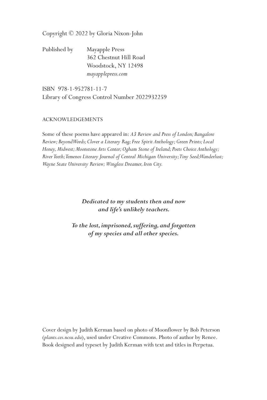Copyright © 2022 by Gloria Nixon-John

Published by Mayapple Press 362 Chestnut Hill Road Woodstock, NY 12498  *mayapplepress.com*

ISBN 978-1-952781-11-7 Library of Congress Control Number 2022932259

#### ACKNOWLEDGEMENTS

Some of these poems have appeared in: *A3 Review and Press of London; Bangalore Review; Beyond Words; Clover a Literary Rag; Free Spirit Anthology; Green Prints; Local Honey, Midwest; Moonstone Arts Center; Ogham Stone of Ireland; Poets Choice Anthology; River Teeth; Temenos Literary Journal of Central Michigan University; Tiny Seed; Wanderlust; Wayne State University Review; Wingless Dreamer, Iron City.*

#### *Dedicated to my students then and now and life's unlikely teachers.*

*To the lost, imprisoned, suffering, and forgotten of my species and all other species.*

Cover design by Judith Kerman based on photo of Moonflower by Bob Peterson (*plants.ces.ncsu.edu*), used under Creative Commons. Photo of author by Renee. Book designed and typeset by Judith Kerman with text and titles in Perpetua.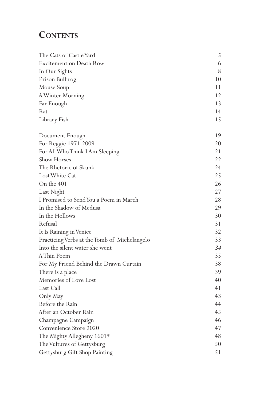## CONTENTS

| The Cats of Castle Yard                      | 5     |
|----------------------------------------------|-------|
| Excitement on Death Row                      | 6     |
| In Our Sights                                | $8\,$ |
| Prison Bullfrog                              | 10    |
| Mouse Soup                                   | 11    |
| A Winter Morning                             | 12    |
| Far Enough                                   | 13    |
| Rat                                          | 14    |
| Library Fish                                 | 15    |
| Document Enough                              | 19    |
| For Reggie 1971-2009                         | 20    |
| For All Who Think I Am Sleeping              | 21    |
| <b>Show Horses</b>                           | 22    |
| The Rhetoric of Skunk                        | 24    |
| Lost White Cat                               | 25    |
| On the 401                                   | 26    |
| Last Night                                   | 27    |
| I Promised to SendYou a Poem in March        | 28    |
| In the Shadow of Medusa                      | 29    |
| In the Hollows                               | 30    |
| Refusal                                      | 31    |
| It Is Raining in Venice                      | 32    |
| Practicing Verbs at the Tomb of Michelangelo | 33    |
| Into the silent water she went               | 34    |
| A Thin Poem                                  | 35    |
| For My Friend Behind the Drawn Curtain       | 38    |
| There is a place                             | 39    |
| Memories of Love Lost                        | 40    |
| Last Call                                    | 41    |
| Only May                                     | 43    |
| Before the Rain                              | 44    |
| After an October Rain                        | 45    |
| Champagne Campaign                           | 46    |
| Convenience Store 2020                       | 47    |
| The Mighty Allegheny 1601*                   | 48    |
| The Vultures of Gettysburg                   | 50    |
| Gettysburg Gift Shop Painting                | 51    |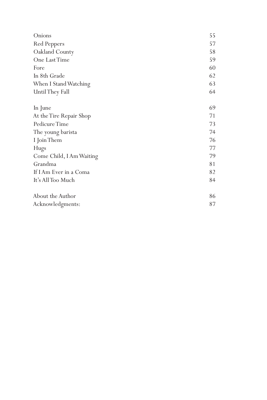| Onions                   | 55 |
|--------------------------|----|
| Red Peppers              | 57 |
| Oakland County           | 58 |
| One Last Time            | 59 |
| Fore                     | 60 |
| In 8th Grade             | 62 |
| When I Stand Watching    | 63 |
| Until They Fall          | 64 |
|                          |    |
| In June                  | 69 |
| At the Tire Repair Shop  | 71 |
| Pedicure Time            | 73 |
| The young barista        | 74 |
| I Join Them              | 76 |
| Hugs                     | 77 |
| Come Child, I Am Waiting | 79 |
| Grandma                  | 81 |
| If I Am Ever in a Coma   | 82 |
| It's All Too Much        | 84 |
|                          |    |
| About the Author         | 86 |
| Acknowledgments:         | 87 |
|                          |    |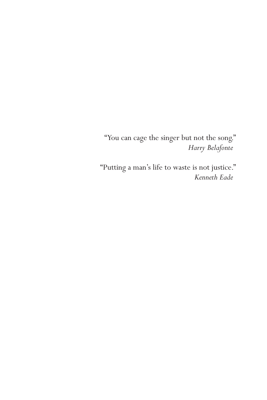"You can cage the singer but not the song." *Harry Belafonte*

"Putting a man's life to waste is not justice." *Kenneth Eade*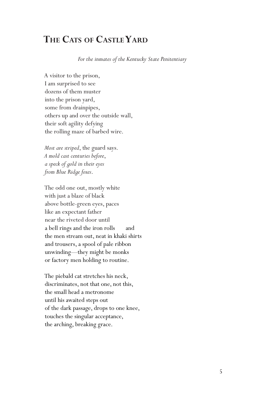### **The Cats of CastleYard**

*For the inmates of the Kentucky State Penitentiary* 

A visitor to the prison, I am surprised to see dozens of them muster into the prison yard, some from drainpipes, others up and over the outside wall, their soft agility defying the rolling maze of barbed wire.

*Most are striped*, the guard says. *A mold cast centuries before*, *a speck of gold in their eyes from Blue Ridge foxes*.

The odd one out, mostly white with just a blaze of black above bottle-green eyes, paces like an expectant father near the riveted door until a bell rings and the iron rolls and the men stream out, neat in khaki shirts and trousers, a spool of pale ribbon unwinding—they might be monks or factory men holding to routine.

The piebald cat stretches his neck, discriminates, not that one, not this, the small head a metronome until his awaited steps out of the dark passage, drops to one knee, touches the singular acceptance, the arching, breaking grace.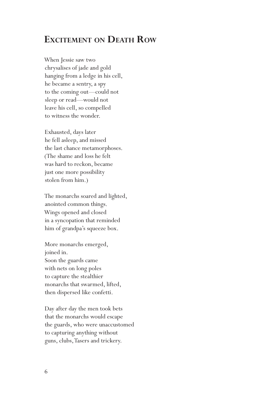#### **Excitement on Death Row**

When Jessie saw two chrysalises of jade and gold hanging from a ledge in his cell, he became a sentry, a spy to the coming out—could not sleep or read—would not leave his cell, so compelled to witness the wonder.

Exhausted, days later he fell asleep, and missed the last chance metamorphoses. (The shame and loss he felt was hard to reckon, became just one more possibility stolen from him.)

The monarchs soared and lighted, anointed common things. Wings opened and closed in a syncopation that reminded him of grandpa's squeeze box.

More monarchs emerged, joined in. Soon the guards came with nets on long poles to capture the stealthier monarchs that swarmed, lifted, then dispersed like confetti.

Day after day the men took bets that the monarchs would escape the guards, who were unaccustomed to capturing anything without guns, clubs, Tasers and trickery.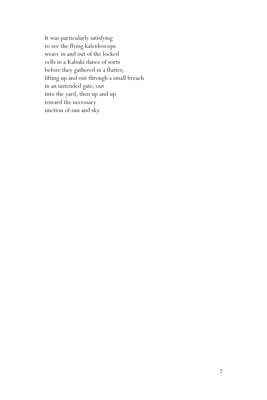It was particularly satisfying to see the flying kaleidoscope weave in and out of the locked cells in a Kabuki dance of sorts before they gathered in a flutter, lifting up and out through a small breach in an untended gate, out into the yard, then up and up toward the necessary unction of sun and sky.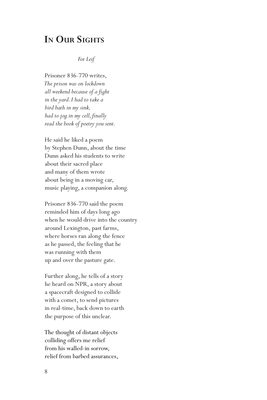#### **In Our Sights**

#### *For Leif*

Prisoner 836-770 writes, *The prison was on lockdown all weekend because of a fight in the yard. I had to take a bird bath in my sink, had to jog in my cell, finally read the book of poetry you sent.*

He said he liked a poem by Stephen Dunn, about the time Dunn asked his students to write about their sacred place and many of them wrote about being in a moving car, music playing, a companion along.

Prisoner 836-770 said the poem reminded him of days long ago when he would drive into the country around Lexington, past farms, where horses ran along the fence as he passed, the feeling that he was running with them up and over the pasture gate.

Further along, he tells of a story he heard on NPR, a story about a spacecraft designed to collide with a comet, to send pictures in real-time, back down to earth the purpose of this unclear.

The thought of distant objects colliding offers me relief from his walled-in sorrow, relief from barbed assurances,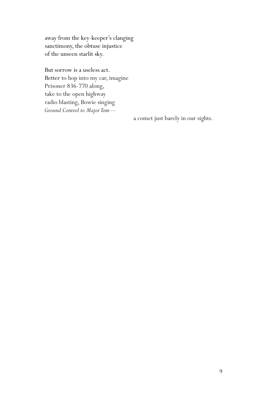away from the key-keeper's clanging sanctimony, the obtuse injustice of the unseen starlit sky.

But sorrow is a useless act. Better to hop into my car, imagine Prisoner 836-770 along, take to the open highway radio blasting, Bowie singing *Ground Control to Major Tom—*

a comet just barely in our sights.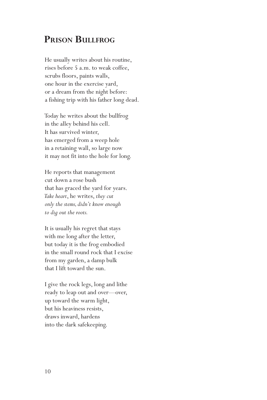#### **Prison Bullfrog**

He usually writes about his routine, rises before 5 a.m. to weak coffee, scrubs floors, paints walls, one hour in the exercise yard, or a dream from the night before: a fishing trip with his father long dead.

Today he writes about the bullfrog in the alley behind his cell. It has survived winter, has emerged from a weep hole in a retaining wall, so large now it may not fit into the hole for long.

He reports that management cut down a rose bush that has graced the yard for years. *Take heart*, he writes, *they cut only the stems, didn't know enough to dig out the roots.* 

It is usually his regret that stays with me long after the letter, but today it is the frog embodied in the small round rock that I excise from my garden, a damp bulk that I lift toward the sun.

I give the rock legs, long and lithe ready to leap out and over—over, up toward the warm light, but his heaviness resists, draws inward, hardens into the dark safekeeping.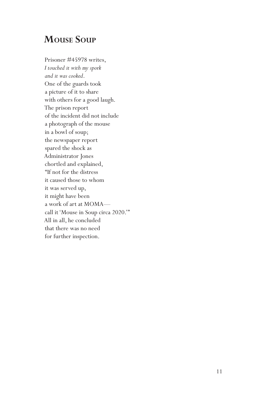### **Mouse Soup**

Prisoner #45978 writes, *I touched it with my spork and it was cooked*. One of the guards took a picture of it to share with others for a good laugh. The prison report of the incident did not include a photograph of the mouse in a bowl of soup; the newspaper report spared the shock as Administrator Jones chortled and explained, "If not for the distress it caused those to whom it was served up, it might have been a work of art at MOMA call it 'Mouse in Soup circa 2020.'" All in all, he concluded that there was no need for further inspection.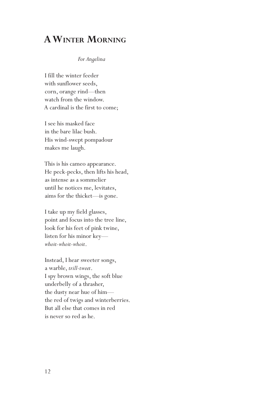### **AWinter Morning**

#### *For Angelina*

I fill the winter feeder with sunflower seeds, corn, orange rind—then watch from the window. A cardinal is the first to come;

I see his masked face in the bare lilac bush. His wind-swept pompadour makes me laugh.

This is his cameo appearance. He peck-pecks, then lifts his head, as intense as a sommelier until he notices me, levitates, aims for the thicket—is gone.

I take up my field glasses, point and focus into the tree line, look for his feet of pink twine, listen for his minor key *whoit-whoit-whoit*.

Instead, I hear sweeter songs, a warble, *trill-tweet*. I spy brown wings, the soft blue underbelly of a thrasher, the dusty near hue of him the red of twigs and winterberries. But all else that comes in red is never so red as he.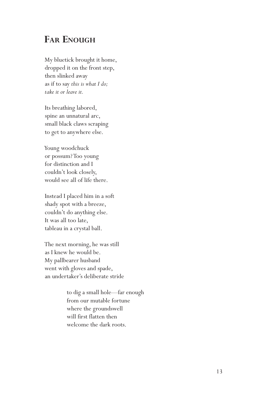### **Far Enough**

My bluetick brought it home, dropped it on the front step, then slinked away as if to say *this is what I do; take it or leave it.* 

Its breathing labored, spine an unnatural arc, small black claws scraping to get to anywhere else.

Young woodchuck or possum? Too young for distinction and I couldn't look closely, would see all of life there.

Instead I placed him in a soft shady spot with a breeze, couldn't do anything else. It was all too late, tableau in a crystal ball.

The next morning, he was still as I knew he would be. My pallbearer husband went with gloves and spade, an undertaker's deliberate stride

> to dig a small hole—far enough from our mutable fortune where the groundswell will first flatten then welcome the dark roots.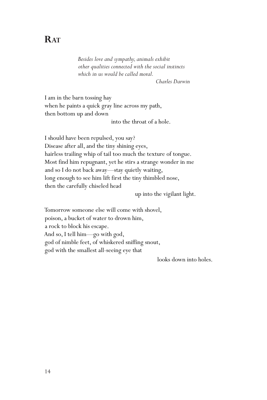### **RAT**

*Besides love and sympathy, animals exhibit other qualities connected with the social instincts which in us would be called moral.*

 *Charles Darwin* 

I am in the barn tossing hay when he paints a quick gray line across my path, then bottom up and down

into the throat of a hole.

I should have been repulsed, you say? Disease after all, and the tiny shining eyes, hairless trailing whip of tail too much the texture of tongue. Most find him repugnant, yet he stirs a strange wonder in me and so I do not back away—stay quietly waiting, long enough to see him lift first the tiny thimbled nose, then the carefully chiseled head

up into the vigilant light.

Tomorrow someone else will come with shovel, poison, a bucket of water to drown him, a rock to block his escape. And so, I tell him—go with god, god of nimble feet, of whiskered sniffing snout, god with the smallest all-seeing eye that

looks down into holes.